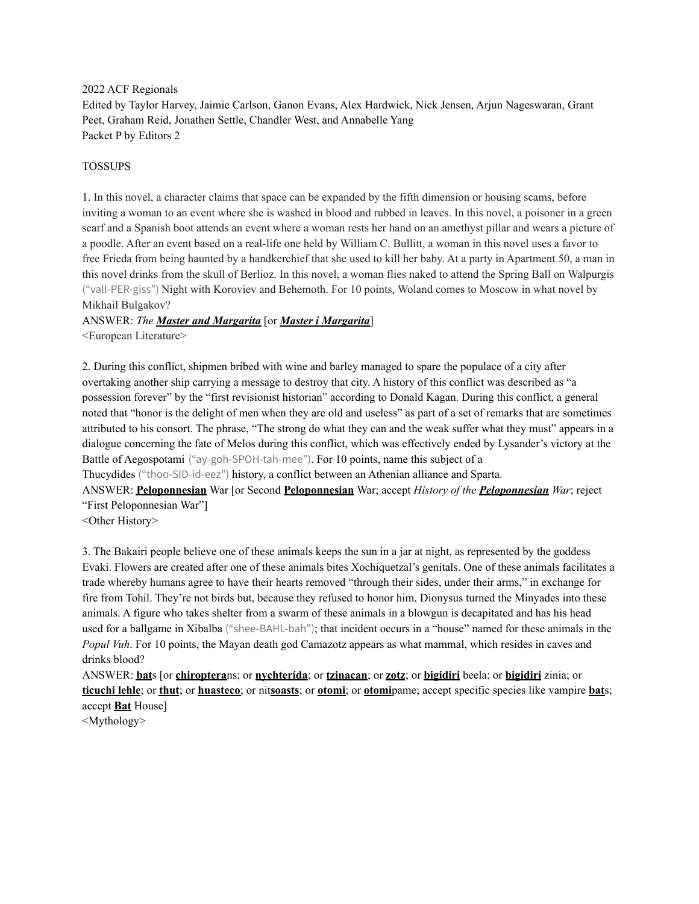2022 ACF Regionals

Edited by Taylor Harvey, Jaimie Carlson, Ganon Evans, Alex Hardwick, Nick Jensen, Arjun Nageswaran, Grant Peet, Graham Reid, Jonathen Settle, Chandler West, and Annabelle Yang Packet P by Editors 2

### TOSSUPS

1. In this novel, a character claims that space can be expanded by the fifth dimension or housing scams, before inviting a woman to an event where she is washed in blood and rubbed in leaves. In this novel, a poisoner in a green scarf and a Spanish boot attends an event where a woman rests her hand on an amethyst pillar and wears a picture of a poodle. After an event based on a real-life one held by William C. Bullitt, a woman in this novel uses a favor to free Frieda from being haunted by a handkerchief that she used to kill her baby. At a party in Apartment 50, a man in this novel drinks from the skull of Berlioz. In this novel, a woman flies naked to attend the Spring Ball on Walpurgis ("vall-PER-giss") Night with Koroviev and Behemoth. For 10 points, Woland comes to Moscow in what novel by Mikhail Bulgakov?

## ANSWER: *The Master and Margarita* [or *Master i Margarita*]

<European Literature>

2. During this conflict, shipmen bribed with wine and barley managed to spare the populace of a city after overtaking another ship carrying a message to destroy that city. A history of this conflict was described as "a possession forever" by the "first revisionist historian" according to Donald Kagan. During this conflict, a general noted that "honor is the delight of men when they are old and useless" as part of a set of remarks that are sometimes attributed to his consort. The phrase, "The strong do what they can and the weak suffer what they must" appears in a dialogue concerning the fate of Melos during this conflict, which was effectively ended by Lysander's victory at the Battle of Aegospotami ("ay-goh-SPOH-tah-mee"). For 10 points, name this subject of a

Thucydides ("thoo-SID-id-eez") history, a conflict between an Athenian alliance and Sparta.

ANSWER: **Peloponnesian** War [or Second **Peloponnesian** War; accept *History of the Peloponnesian War*; reject "First Peloponnesian War"]

<Other History>

3. The Bakairi people believe one of these animals keeps the sun in a jar at night, as represented by the goddess Evaki. Flowers are created after one of these animals bites Xochiquetzal's genitals. One of these animals facilitates a trade whereby humans agree to have their hearts removed "through their sides, under their arms," in exchange for fire from Tohil. They're not birds but, because they refused to honor him, Dionysus turned the Minyades into these animals. A figure who takes shelter from a swarm of these animals in a blowgun is decapitated and has his head used for a ballgame in Xibalba ("shee-BAHL-bah"); that incident occurs in a "house" named for these animals in the *Popul Vuh*. For 10 points, the Mayan death god Camazotz appears as what mammal, which resides in caves and drinks blood?

ANSWER: **bat**s [or **chiroptera**ns; or **nychterída**; or **tzinacan**; or **zotz**; or **bigidiri** beela; or **bigidiri** zinia; or **ticuchi lehle**; or **thut**; or **huasteco**; or nit**soasts**; or **otomi**; or **otomi**pame; accept specific species like vampire **bat**s; accept **Bat** House]

<Mythology>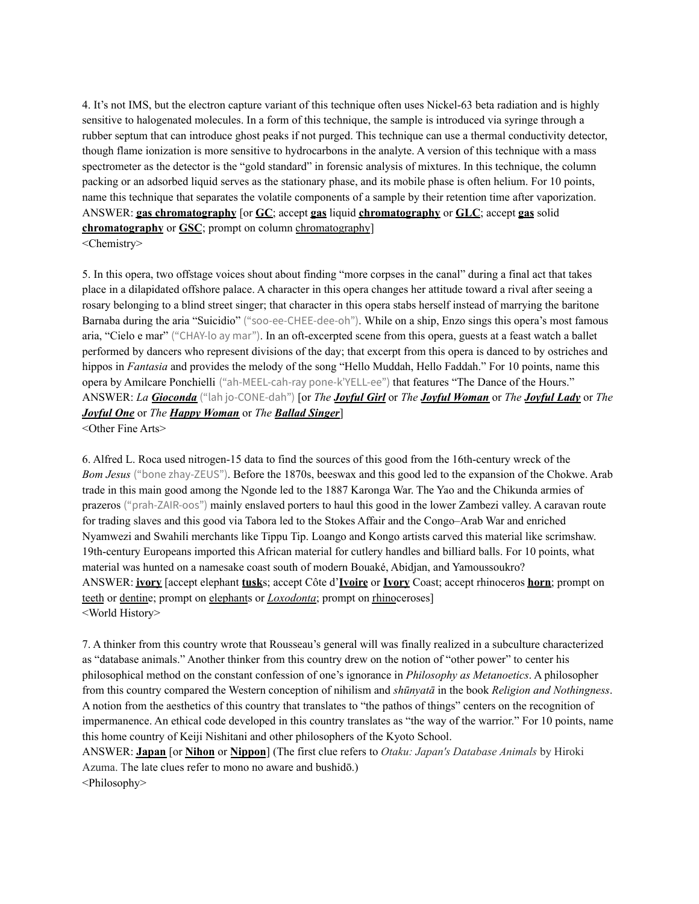4. It's not IMS, but the electron capture variant of this technique often uses Nickel-63 beta radiation and is highly sensitive to halogenated molecules. In a form of this technique, the sample is introduced via syringe through a rubber septum that can introduce ghost peaks if not purged. This technique can use a thermal conductivity detector, though flame ionization is more sensitive to hydrocarbons in the analyte. A version of this technique with a mass spectrometer as the detector is the "gold standard" in forensic analysis of mixtures. In this technique, the column packing or an adsorbed liquid serves as the stationary phase, and its mobile phase is often helium. For 10 points, name this technique that separates the volatile components of a sample by their retention time after vaporization. ANSWER: **gas chromatography** [or **GC**; accept **gas** liquid **chromatography** or **GLC**; accept **gas** solid **chromatography** or **GSC**; prompt on column chromatography]

<Chemistry>

5. In this opera, two offstage voices shout about finding "more corpses in the canal" during a final act that takes place in a dilapidated offshore palace. A character in this opera changes her attitude toward a rival after seeing a rosary belonging to a blind street singer; that character in this opera stabs herself instead of marrying the baritone Barnaba during the aria "Suicidio" ("soo-ee-CHEE-dee-oh"). While on a ship, Enzo sings this opera's most famous aria, "Cielo e mar" ("CHAY-lo ay mar"). In an oft-excerpted scene from this opera, guests at a feast watch a ballet performed by dancers who represent divisions of the day; that excerpt from this opera is danced to by ostriches and hippos in *Fantasia* and provides the melody of the song "Hello Muddah, Hello Faddah." For 10 points, name this opera by Amilcare Ponchielli ("ah-MEEL-cah-ray pone-k'YELL-ee") that features "The Dance of the Hours." ANSWER: *La Gioconda* ("lah jo-CONE-dah") [or *The Joyful Girl* or *The Joyful Woman* or *The Joyful Lady* or *The Joyful One* or *The Happy Woman* or *The Ballad Singer*]

<Other Fine Arts>

6. Alfred L. Roca used nitrogen-15 data to find the sources of this good from the 16th-century wreck of the *Bom Jesus* ("bone zhay-ZEUS"). Before the 1870s, beeswax and this good led to the expansion of the Chokwe. Arab trade in this main good among the Ngonde led to the 1887 Karonga War. The Yao and the Chikunda armies of prazeros ("prah-ZAIR-oos") mainly enslaved porters to haul this good in the lower Zambezi valley. A caravan route for trading slaves and this good via Tabora led to the Stokes Affair and the Congo–Arab War and enriched Nyamwezi and Swahili merchants like Tippu Tip. Loango and Kongo artists carved this material like scrimshaw. 19th-century Europeans imported this African material for cutlery handles and billiard balls. For 10 points, what material was hunted on a namesake coast south of modern Bouaké, Abidjan, and Yamoussoukro? ANSWER: **ivory** [accept elephant **tusk**s; accept Côte d'**Ivoire** or **Ivory** Coast; accept rhinoceros **horn**; prompt on teeth or dentine; prompt on elephants or *Loxodonta*; prompt on rhinoceroses] <World History>

7. A thinker from this country wrote that Rousseau's general will was finally realized in a subculture characterized as "database animals." Another thinker from this country drew on the notion of "other power" to center his philosophical method on the constant confession of one's ignorance in *Philosophy as Metanoetics*. A philosopher from this country compared the Western conception of nihilism and *shūnyatā* in the book *Religion and Nothingness*. A notion from the aesthetics of this country that translates to "the pathos of things" centers on the recognition of impermanence. An ethical code developed in this country translates as "the way of the warrior." For 10 points, name this home country of Keiji Nishitani and other philosophers of the Kyoto School.

ANSWER: **Japan** [or **Nihon** or **Nippon**] (The first clue refers to *Otaku: Japan's Database Animals* by Hiroki Azuma. The late clues refer to mono no aware and bushidō.) <Philosophy>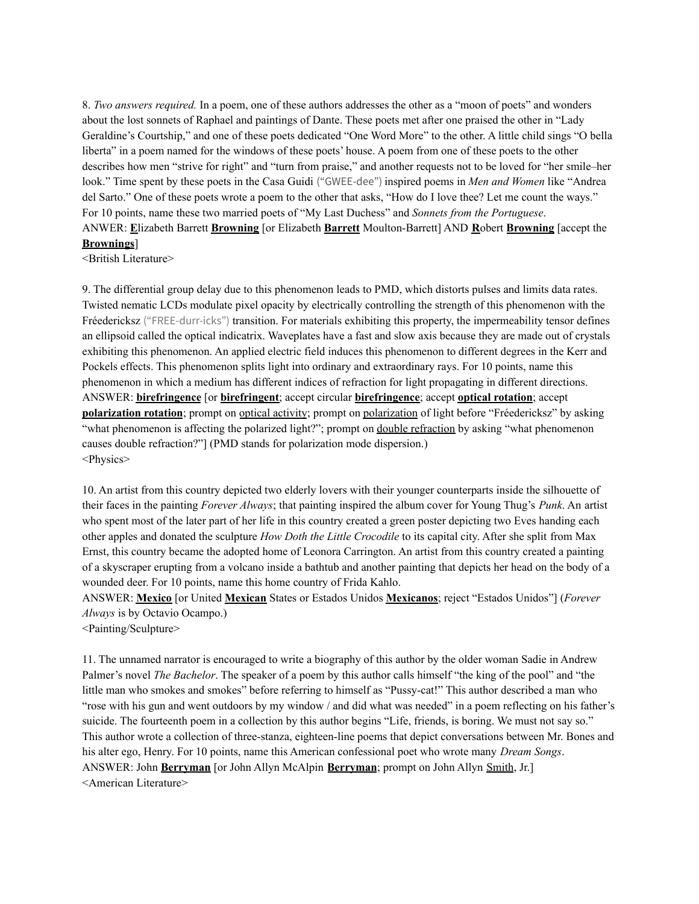8. *Two answers required.* In a poem, one of these authors addresses the other as a "moon of poets" and wonders about the lost sonnets of Raphael and paintings of Dante. These poets met after one praised the other in "Lady Geraldine's Courtship," and one of these poets dedicated "One Word More" to the other. A little child sings "O bella liberta" in a poem named for the windows of these poets' house. A poem from one of these poets to the other describes how men "strive for right" and "turn from praise," and another requests not to be loved for "her smile–her look." Time spent by these poets in the Casa Guidi ("GWEE-dee") inspired poems in *Men and Women* like "Andrea del Sarto." One of these poets wrote a poem to the other that asks, "How do I love thee? Let me count the ways." For 10 points, name these two married poets of "My Last Duchess" and *Sonnets from the Portuguese*. ANWER: **E**lizabeth Barrett **Browning** [or Elizabeth **Barrett** Moulton-Barrett] AND **R**obert **Browning** [accept the **Brownings**]

<British Literature>

9. The differential group delay due to this phenomenon leads to PMD, which distorts pulses and limits data rates. Twisted nematic LCDs modulate pixel opacity by electrically controlling the strength of this phenomenon with the Fréedericksz ("FREE-durr-icks") transition. For materials exhibiting this property, the impermeability tensor defines an ellipsoid called the optical indicatrix. Waveplates have a fast and slow axis because they are made out of crystals exhibiting this phenomenon. An applied electric field induces this phenomenon to different degrees in the Kerr and Pockels effects. This phenomenon splits light into ordinary and extraordinary rays. For 10 points, name this phenomenon in which a medium has different indices of refraction for light propagating in different directions. ANSWER: **birefringence** [or **birefringent**; accept circular **birefringence**; accept **optical rotation**; accept **polarization rotation**; prompt on optical activity; prompt on polarization of light before "Fréedericksz" by asking "what phenomenon is affecting the polarized light?"; prompt on double refraction by asking "what phenomenon causes double refraction?"] (PMD stands for polarization mode dispersion.) <Physics>

10. An artist from this country depicted two elderly lovers with their younger counterparts inside the silhouette of their faces in the painting *Forever Always*; that painting inspired the album cover for Young Thug's *Punk*. An artist who spent most of the later part of her life in this country created a green poster depicting two Eves handing each other apples and donated the sculpture *How Doth the Little Crocodile* to its capital city. After she split from Max Ernst, this country became the adopted home of Leonora Carrington. An artist from this country created a painting of a skyscraper erupting from a volcano inside a bathtub and another painting that depicts her head on the body of a wounded deer. For 10 points, name this home country of Frida Kahlo.

ANSWER: **Mexico** [or United **Mexican** States or Estados Unidos **Mexicanos**; reject "Estados Unidos"] (*Forever Always* is by Octavio Ocampo.)

<Painting/Sculpture>

11. The unnamed narrator is encouraged to write a biography of this author by the older woman Sadie in Andrew Palmer's novel *The Bachelor*. The speaker of a poem by this author calls himself "the king of the pool" and "the little man who smokes and smokes" before referring to himself as "Pussy-cat!" This author described a man who "rose with his gun and went outdoors by my window / and did what was needed" in a poem reflecting on his father's suicide. The fourteenth poem in a collection by this author begins "Life, friends, is boring. We must not say so." This author wrote a collection of three-stanza, eighteen-line poems that depict conversations between Mr. Bones and his alter ego, Henry. For 10 points, name this American confessional poet who wrote many *Dream Songs*. ANSWER: John **Berryman** [or John Allyn McAlpin **Berryman**; prompt on John Allyn Smith, Jr.] <American Literature>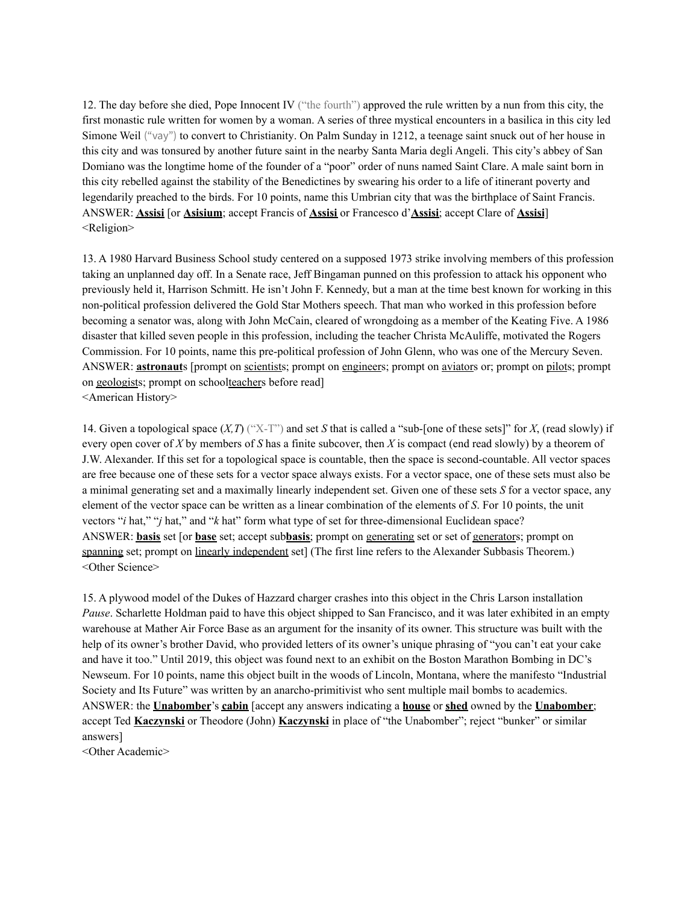12. The day before she died, Pope Innocent IV ("the fourth") approved the rule written by a nun from this city, the first monastic rule written for women by a woman. A series of three mystical encounters in a basilica in this city led Simone Weil ("vay") to convert to Christianity. On Palm Sunday in 1212, a teenage saint snuck out of her house in this city and was tonsured by another future saint in the nearby Santa Maria degli Angeli. This city's abbey of San Domiano was the longtime home of the founder of a "poor" order of nuns named Saint Clare. A male saint born in this city rebelled against the stability of the Benedictines by swearing his order to a life of itinerant poverty and legendarily preached to the birds. For 10 points, name this Umbrian city that was the birthplace of Saint Francis. ANSWER: **Assisi** [or **Asisium**; accept Francis of **Assisi** or Francesco d'**Assisi**; accept Clare of **Assisi**] <Religion>

13. A 1980 Harvard Business School study centered on a supposed 1973 strike involving members of this profession taking an unplanned day off. In a Senate race, Jeff Bingaman punned on this profession to attack his opponent who previously held it, Harrison Schmitt. He isn't John F. Kennedy, but a man at the time best known for working in this non-political profession delivered the Gold Star Mothers speech. That man who worked in this profession before becoming a senator was, along with John McCain, cleared of wrongdoing as a member of the Keating Five. A 1986 disaster that killed seven people in this profession, including the teacher Christa McAuliffe, motivated the Rogers Commission. For 10 points, name this pre-political profession of John Glenn, who was one of the Mercury Seven. ANSWER: **astronaut**s [prompt on scientists; prompt on engineers; prompt on aviators or; prompt on pilots; prompt on geologists; prompt on schoolteachers before read] <American History>

14. Given a topological space  $(X, T)$  ("X-T") and set *S* that is called a "sub-[one of these sets]" for *X*, (read slowly) if every open cover of *X* by members of *S* has a finite subcover, then *X* is compact (end read slowly) by a theorem of J.W. Alexander. If this set for a topological space is countable, then the space is second-countable. All vector spaces are free because one of these sets for a vector space always exists. For a vector space, one of these sets must also be a minimal generating set and a maximally linearly independent set. Given one of these sets *S* for a vector space, any element of the vector space can be written as a linear combination of the elements of *S*. For 10 points, the unit vectors "*i* hat," "*j* hat," and "*k* hat" form what type of set for three-dimensional Euclidean space? ANSWER: **basis** set [or **base** set; accept sub**basis**; prompt on generating set or set of generators; prompt on spanning set; prompt on linearly independent set] (The first line refers to the Alexander Subbasis Theorem.) <Other Science>

15. A plywood model of the Dukes of Hazzard charger crashes into this object in the Chris Larson installation *Pause*. Scharlette Holdman paid to have this object shipped to San Francisco, and it was later exhibited in an empty warehouse at Mather Air Force Base as an argument for the insanity of its owner. This structure was built with the help of its owner's brother David, who provided letters of its owner's unique phrasing of "you can't eat your cake and have it too." Until 2019, this object was found next to an exhibit on the Boston Marathon Bombing in DC's Newseum. For 10 points, name this object built in the woods of Lincoln, Montana, where the manifesto "Industrial Society and Its Future" was written by an anarcho-primitivist who sent multiple mail bombs to academics. ANSWER: the **Unabomber**'s **cabin** [accept any answers indicating a **house** or **shed** owned by the **Unabomber**; accept Ted **Kaczynski** or Theodore (John) **Kaczynski** in place of "the Unabomber"; reject "bunker" or similar answers]

<Other Academic>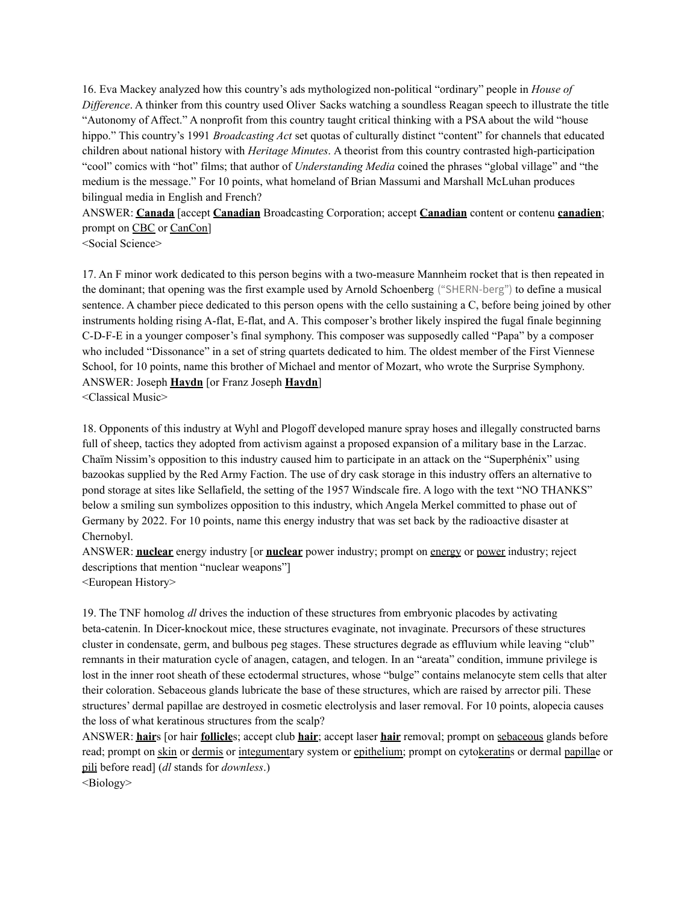16. Eva Mackey analyzed how this country's ads mythologized non-political "ordinary" people in *House of Dif erence*. A thinker from this country used Oliver Sacks watching a soundless Reagan speech to illustrate the title "Autonomy of Affect." A nonprofit from this country taught critical thinking with a PSA about the wild "house hippo." This country's 1991 *Broadcasting Act* set quotas of culturally distinct "content" for channels that educated children about national history with *Heritage Minutes*. A theorist from this country contrasted high-participation "cool" comics with "hot" films; that author of *Understanding Media* coined the phrases "global village" and "the medium is the message." For 10 points, what homeland of Brian Massumi and Marshall McLuhan produces bilingual media in English and French?

ANSWER: **Canada** [accept **Canadian** Broadcasting Corporation; accept **Canadian** content or contenu **canadien**; prompt on CBC or CanCon]

<Social Science>

17. An F minor work dedicated to this person begins with a two-measure Mannheim rocket that is then repeated in the dominant; that opening was the first example used by Arnold Schoenberg ("SHERN-berg") to define a musical sentence. A chamber piece dedicated to this person opens with the cello sustaining a C, before being joined by other instruments holding rising A-flat, E-flat, and A. This composer's brother likely inspired the fugal finale beginning C-D-F-E in a younger composer's final symphony. This composer was supposedly called "Papa" by a composer who included "Dissonance" in a set of string quartets dedicated to him. The oldest member of the First Viennese School, for 10 points, name this brother of Michael and mentor of Mozart, who wrote the Surprise Symphony. ANSWER: Joseph **Haydn** [or Franz Joseph **Haydn**] <Classical Music>

18. Opponents of this industry at Wyhl and Plogoff developed manure spray hoses and illegally constructed barns full of sheep, tactics they adopted from activism against a proposed expansion of a military base in the Larzac. Chaïm Nissim's opposition to this industry caused him to participate in an attack on the "Superphénix" using bazookas supplied by the Red Army Faction. The use of dry cask storage in this industry offers an alternative to pond storage at sites like Sellafield, the setting of the 1957 Windscale fire. A logo with the text "NO THANKS" below a smiling sun symbolizes opposition to this industry, which Angela Merkel committed to phase out of Germany by 2022. For 10 points, name this energy industry that was set back by the radioactive disaster at Chernobyl.

ANSWER: **nuclear** energy industry [or **nuclear** power industry; prompt on energy or power industry; reject descriptions that mention "nuclear weapons"]

<European History>

19. The TNF homolog *dl* drives the induction of these structures from embryonic placodes by activating beta-catenin. In Dicer-knockout mice, these structures evaginate, not invaginate. Precursors of these structures cluster in condensate, germ, and bulbous peg stages. These structures degrade as effluvium while leaving "club" remnants in their maturation cycle of anagen, catagen, and telogen. In an "areata" condition, immune privilege is lost in the inner root sheath of these ectodermal structures, whose "bulge" contains melanocyte stem cells that alter their coloration. Sebaceous glands lubricate the base of these structures, which are raised by arrector pili. These structures' dermal papillae are destroyed in cosmetic electrolysis and laser removal. For 10 points, alopecia causes the loss of what keratinous structures from the scalp?

ANSWER: **hair**s [or hair **follicle**s; accept club **hair**; accept laser **hair** removal; prompt on sebaceous glands before read; prompt on skin or dermis or integumentary system or epithelium; prompt on cytokeratins or dermal papillae or pili before read] (*dl* stands for *downless*.)

<Biology>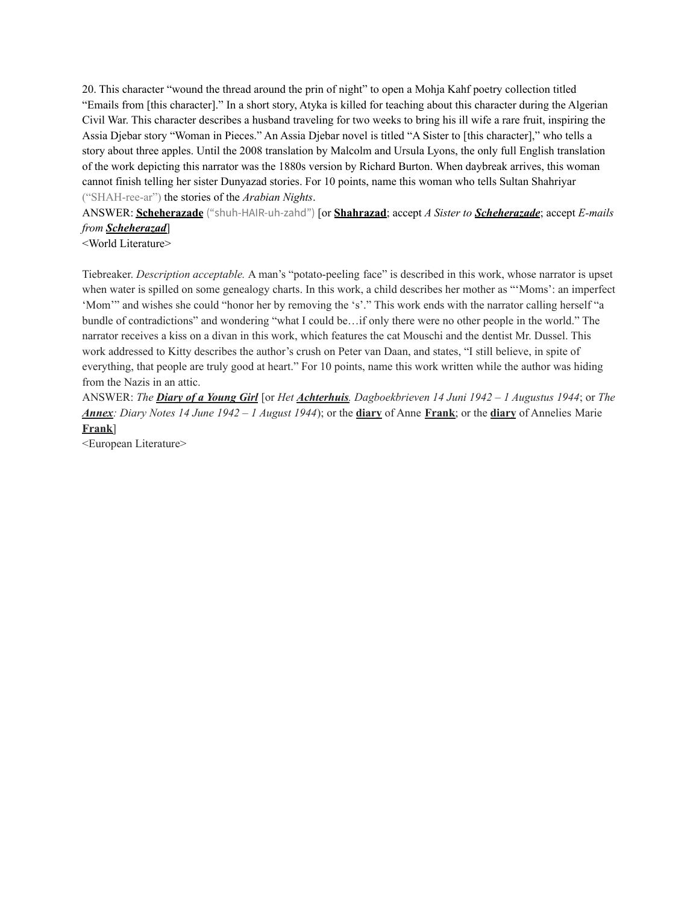20. This character "wound the thread around the prin of night" to open a Mohja Kahf poetry collection titled "Emails from [this character]." In a short story, Atyka is killed for teaching about this character during the Algerian Civil War. This character describes a husband traveling for two weeks to bring his ill wife a rare fruit, inspiring the Assia Djebar story "Woman in Pieces." An Assia Djebar novel is titled "A Sister to [this character]," who tells a story about three apples. Until the 2008 translation by Malcolm and Ursula Lyons, the only full English translation of the work depicting this narrator was the 1880s version by Richard Burton. When daybreak arrives, this woman cannot finish telling her sister Dunyazad stories. For 10 points, name this woman who tells Sultan Shahriyar ("SHAH-ree-ar") the stories of the *Arabian Nights*.

ANSWER: **Scheherazade** ("shuh-HAIR-uh-zahd") [or **Shahrazad**; accept *A Sister to Scheherazade*; accept *E-mails from Scheherazad*]

<World Literature>

Tiebreaker. *Description acceptable.* A man's "potato-peeling face" is described in this work, whose narrator is upset when water is spilled on some genealogy charts. In this work, a child describes her mother as "'Moms': an imperfect 'Mom'" and wishes she could "honor her by removing the 's'." This work ends with the narrator calling herself "a bundle of contradictions" and wondering "what I could be…if only there were no other people in the world." The narrator receives a kiss on a divan in this work, which features the cat Mouschi and the dentist Mr. Dussel. This work addressed to Kitty describes the author's crush on Peter van Daan, and states, "I still believe, in spite of everything, that people are truly good at heart." For 10 points, name this work written while the author was hiding from the Nazis in an attic.

ANSWER: The **Diary of a Young Girl** [or Het *Achterhuis*, Dagboekbrieven 14 Juni 1942 – 1 Augustus 1944; or The *Annex: Diary Notes 14 June 1942 – 1 August 1944*); or the **diary** of Anne **Frank**; or the **diary** of Annelies Marie **Frank**]

<European Literature>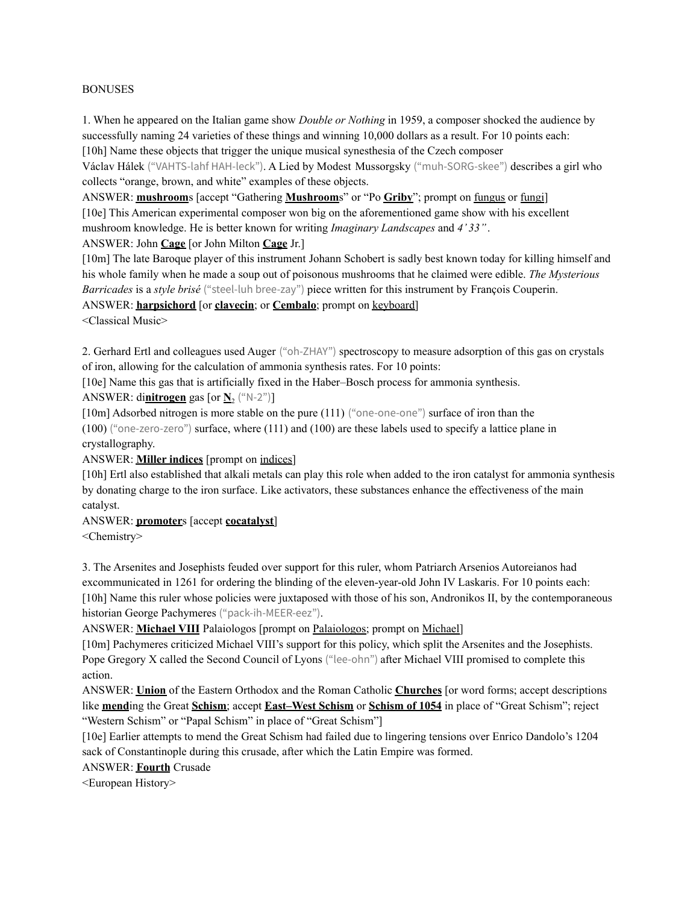#### BONUSES

1. When he appeared on the Italian game show *Double or Nothing* in 1959, a composer shocked the audience by successfully naming 24 varieties of these things and winning 10,000 dollars as a result. For 10 points each: [10h] Name these objects that trigger the unique musical synesthesia of the Czech composer

Václav Hálek ("VAHTS-lahf HAH-leck"). A Lied by Modest Mussorgsky ("muh-SORG-skee") describes a girl who collects "orange, brown, and white" examples of these objects.

ANSWER: **mushroom**s [accept "Gathering **Mushroom**s" or "Po **Griby**"; prompt on fungus or fungi] [10e] This American experimental composer won big on the aforementioned game show with his excellent mushroom knowledge. He is better known for writing *Imaginary Landscapes* and *4' 33''*.

## ANSWER: John **Cage** [or John Milton **Cage** Jr.]

[10m] The late Baroque player of this instrument Johann Schobert is sadly best known today for killing himself and his whole family when he made a soup out of poisonous mushrooms that he claimed were edible. *The Mysterious Barricades* is a *style brisé* ("steel-luh bree-zay") piece written for this instrument by François Couperin.

ANSWER: **harpsichord** [or **clavecin**; or **Cembalo**; prompt on keyboard]

<Classical Music>

2. Gerhard Ertl and colleagues used Auger ("oh-ZHAY") spectroscopy to measure adsorption of this gas on crystals of iron, allowing for the calculation of ammonia synthesis rates. For 10 points:

[10e] Name this gas that is artificially fixed in the Haber–Bosch process for ammonia synthesis.

## ANSWER: di**nitrogen** gas [or  $\mathbf{N}_2$  ("N-2")]

[10m] Adsorbed nitrogen is more stable on the pure (111) ("one-one-one") surface of iron than the

(100) ("one-zero-zero") surface, where (111) and (100) are these labels used to specify a lattice plane in crystallography.

ANSWER: **Miller indices** [prompt on indices]

[10h] Ertl also established that alkali metals can play this role when added to the iron catalyst for ammonia synthesis by donating charge to the iron surface. Like activators, these substances enhance the effectiveness of the main catalyst.

## ANSWER: **promoter**s [accept **cocatalyst**]

<Chemistry>

3. The Arsenites and Josephists feuded over support for this ruler, whom Patriarch Arsenios Autoreianos had excommunicated in 1261 for ordering the blinding of the eleven-year-old John IV Laskaris. For 10 points each: [10h] Name this ruler whose policies were juxtaposed with those of his son, Andronikos II, by the contemporaneous historian George Pachymeres ("pack-ih-MEER-eez").

ANSWER: **Michael VIII** Palaiologos [prompt on Palaiologos; prompt on Michael]

[10m] Pachymeres criticized Michael VIII's support for this policy, which split the Arsenites and the Josephists. Pope Gregory X called the Second Council of Lyons ("lee-ohn") after Michael VIII promised to complete this action.

ANSWER: **Union** of the Eastern Orthodox and the Roman Catholic **Churches** [or word forms; accept descriptions like **mend**ing the Great **Schism**; accept **East–West Schism** or **Schism of 1054** in place of "Great Schism"; reject "Western Schism" or "Papal Schism" in place of "Great Schism"]

[10e] Earlier attempts to mend the Great Schism had failed due to lingering tensions over Enrico Dandolo's 1204 sack of Constantinople during this crusade, after which the Latin Empire was formed.

## ANSWER: **Fourth** Crusade

<European History>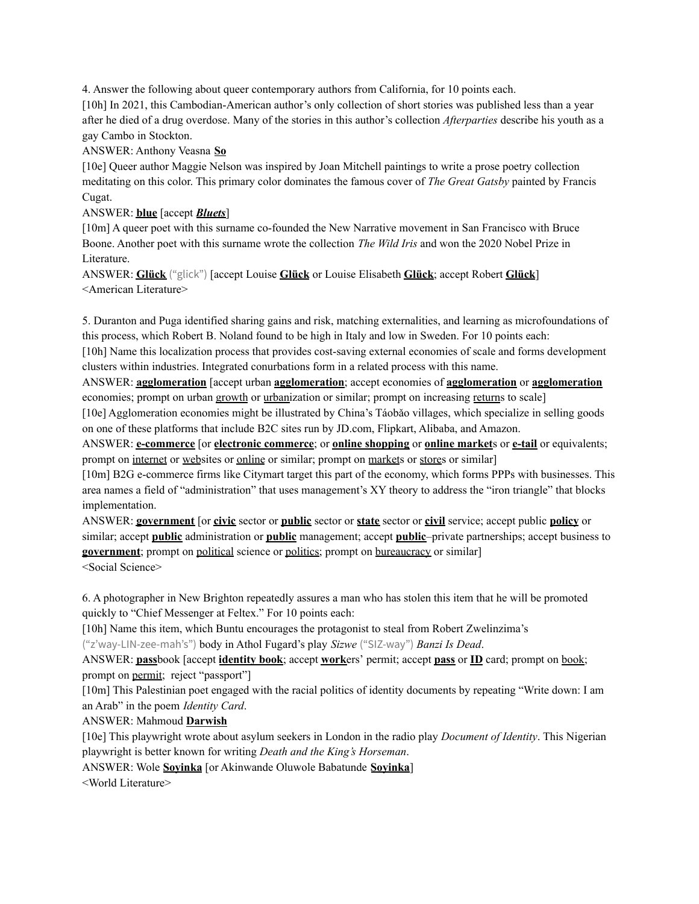4. Answer the following about queer contemporary authors from California, for 10 points each.

[10h] In 2021, this Cambodian-American author's only collection of short stories was published less than a year after he died of a drug overdose. Many of the stories in this author's collection *Afterparties* describe his youth as a gay Cambo in Stockton.

ANSWER: Anthony Veasna **So**

[10e] Queer author Maggie Nelson was inspired by Joan Mitchell paintings to write a prose poetry collection meditating on this color. This primary color dominates the famous cover of *The Great Gatsby* painted by Francis Cugat.

### ANSWER: **blue** [accept *Bluets*]

[10m] A queer poet with this surname co-founded the New Narrative movement in San Francisco with Bruce Boone. Another poet with this surname wrote the collection *The Wild Iris* and won the 2020 Nobel Prize in Literature.

ANSWER: **Glück** ("glick") [accept Louise **Glück** or Louise Elisabeth **Glück**; accept Robert **Glück**] <American Literature>

5. Duranton and Puga identified sharing gains and risk, matching externalities, and learning as microfoundations of this process, which Robert B. Noland found to be high in Italy and low in Sweden. For 10 points each:

[10h] Name this localization process that provides cost-saving external economies of scale and forms development clusters within industries. Integrated conurbations form in a related process with this name.

ANSWER: **agglomeration** [accept urban **agglomeration**; accept economies of **agglomeration** or **agglomeration** economies; prompt on urban growth or urbanization or similar; prompt on increasing returns to scale]

[10e] Agglomeration economies might be illustrated by China's Táobǎo villages, which specialize in selling goods on one of these platforms that include B2C sites run by JD.com, Flipkart, Alibaba, and Amazon.

ANSWER: **e-commerce** [or **electronic commerce**; or **online shopping** or **online market**s or **e-tail** or equivalents; prompt on internet or websites or online or similar; prompt on markets or stores or similar]

[10m] B2G e-commerce firms like Citymart target this part of the economy, which forms PPPs with businesses. This area names a field of "administration" that uses management's XY theory to address the "iron triangle" that blocks implementation.

ANSWER: **government** [or **civic** sector or **public** sector or **state** sector or **civil** service; accept public **policy** or similar; accept **public** administration or **public** management; accept **public**–private partnerships; accept business to **government**; prompt on political science or politics; prompt on bureaucracy or similar] <Social Science>

6. A photographer in New Brighton repeatedly assures a man who has stolen this item that he will be promoted quickly to "Chief Messenger at Feltex." For 10 points each:

[10h] Name this item, which Buntu encourages the protagonist to steal from Robert Zwelinzima's

("z'way-LIN-zee-mah's") body in Athol Fugard's play *Sizwe* ("SIZ-way") *Banzi Is Dead*.

ANSWER: **pass**book [accept **identity book**; accept **work**ers' permit; accept **pass** or **ID** card; prompt on book; prompt on permit; reject "passport"]

[10m] This Palestinian poet engaged with the racial politics of identity documents by repeating "Write down: I am an Arab" in the poem *Identity Card*.

## ANSWER: Mahmoud **Darwish**

[10e] This playwright wrote about asylum seekers in London in the radio play *Document of Identity*. This Nigerian playwright is better known for writing *Death and the King's Horseman*.

ANSWER: Wole **Soyinka** [or Akinwande Oluwole Babatunde **Soyinka**]

<World Literature>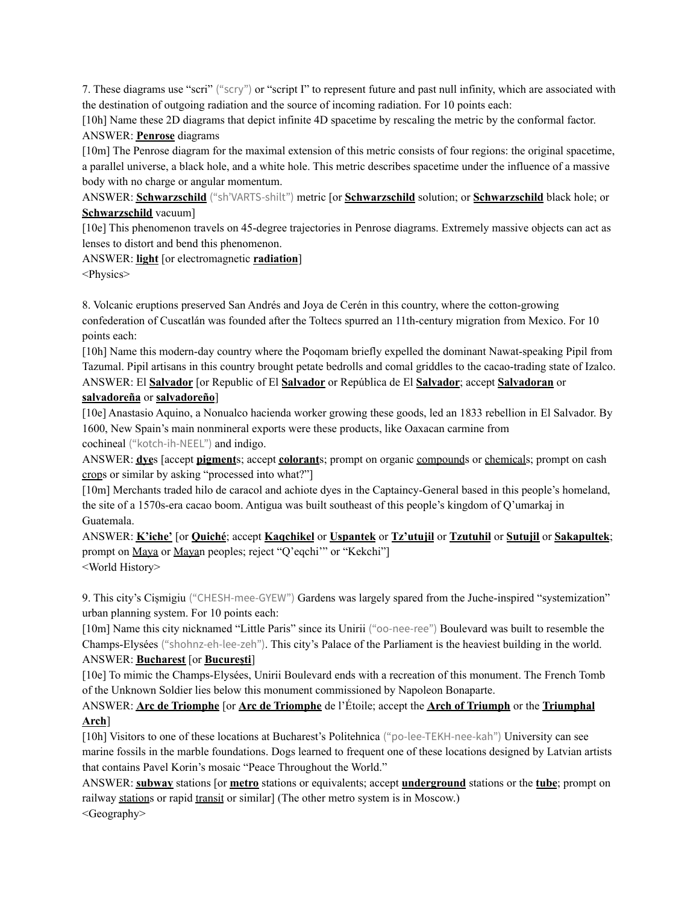7. These diagrams use "scri" ("scry") or "script I" to represent future and past null infinity, which are associated with the destination of outgoing radiation and the source of incoming radiation. For 10 points each:

[10h] Name these 2D diagrams that depict infinite 4D spacetime by rescaling the metric by the conformal factor. ANSWER: **Penrose** diagrams

[10m] The Penrose diagram for the maximal extension of this metric consists of four regions: the original spacetime, a parallel universe, a black hole, and a white hole. This metric describes spacetime under the influence of a massive body with no charge or angular momentum.

ANSWER: **Schwarzschild** ("sh'VARTS-shilt") metric [or **Schwarzschild** solution; or **Schwarzschild** black hole; or **Schwarzschild** vacuum]

[10e] This phenomenon travels on 45-degree trajectories in Penrose diagrams. Extremely massive objects can act as lenses to distort and bend this phenomenon.

ANSWER: **light** [or electromagnetic **radiation**]

<Physics>

8. Volcanic eruptions preserved San Andrés and Joya de Cerén in this country, where the cotton-growing confederation of Cuscatlán was founded after the Toltecs spurred an 11th-century migration from Mexico. For 10 points each:

[10h] Name this modern-day country where the Poqomam briefly expelled the dominant Nawat-speaking Pipil from Tazumal. Pipil artisans in this country brought petate bedrolls and comal griddles to the cacao-trading state of Izalco. ANSWER: El **Salvador** [or Republic of El **Salvador** or República de El **Salvador**; accept **Salvadoran** or

## **salvadoreña** or **salvadoreño**]

[10e] Anastasio Aquino, a Nonualco hacienda worker growing these goods, led an 1833 rebellion in El Salvador. By 1600, New Spain's main nonmineral exports were these products, like Oaxacan carmine from cochineal ("kotch-ih-NEEL") and indigo.

ANSWER: **dye**s [accept **pigment**s; accept **colorant**s; prompt on organic compounds or chemicals; prompt on cash crops or similar by asking "processed into what?"]

[10m] Merchants traded hilo de caracol and achiote dyes in the Captaincy-General based in this people's homeland, the site of a 1570s-era cacao boom. Antigua was built southeast of this people's kingdom of Q'umarkaj in Guatemala.

ANSWER: **K'iche'** [or **Quiché**; accept **Kaqchikel** or **Uspantek** or **Tz'utujil** or **Tzutuhil** or **Sutujil** or **Sakapultek**; prompt on Maya or Mayan peoples; reject "Q'eqchi" or "Kekchi"] <World History>

9. This city's Cișmigiu ("CHESH-mee-GYEW") Gardens was largely spared from the Juche-inspired "systemization" urban planning system. For 10 points each:

[10m] Name this city nicknamed "Little Paris" since its Unirii ("oo-nee-ree") Boulevard was built to resemble the Champs-Elysées ("shohnz-eh-lee-zeh"). This city's Palace of the Parliament is the heaviest building in the world. ANSWER: **Bucharest** [or **București**]

[10e] To mimic the Champs-Elysées, Unirii Boulevard ends with a recreation of this monument. The French Tomb of the Unknown Soldier lies below this monument commissioned by Napoleon Bonaparte.

# ANSWER: **Arc de Triomphe** [or **Arc de Triomphe** de l'Étoile; accept the **Arch of Triumph** or the **Triumphal Arch**]

[10h] Visitors to one of these locations at Bucharest's Politehnica ("po-lee-TEKH-nee-kah") University can see marine fossils in the marble foundations. Dogs learned to frequent one of these locations designed by Latvian artists that contains Pavel Korin's mosaic "Peace Throughout the World."

ANSWER: **subway** stations [or **metro** stations or equivalents; accept **underground** stations or the **tube**; prompt on railway stations or rapid transit or similar] (The other metro system is in Moscow.) <Geography>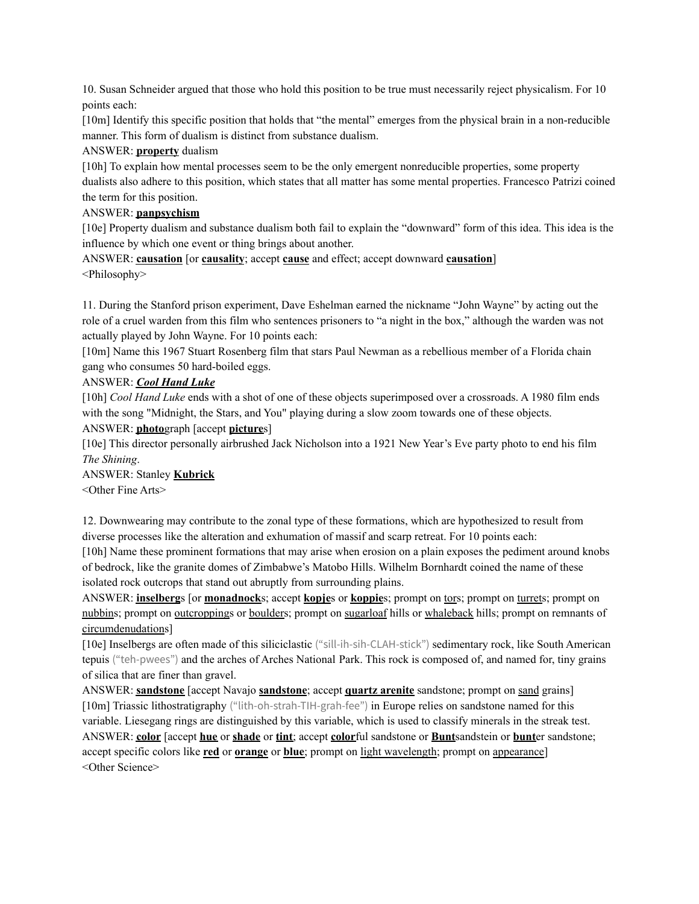10. Susan Schneider argued that those who hold this position to be true must necessarily reject physicalism. For 10 points each:

[10m] Identify this specific position that holds that "the mental" emerges from the physical brain in a non-reducible manner. This form of dualism is distinct from substance dualism.

### ANSWER: **property** dualism

[10h] To explain how mental processes seem to be the only emergent nonreducible properties, some property dualists also adhere to this position, which states that all matter has some mental properties. Francesco Patrizi coined the term for this position.

### ANSWER: **panpsychism**

[10e] Property dualism and substance dualism both fail to explain the "downward" form of this idea. This idea is the influence by which one event or thing brings about another.

ANSWER: **causation** [or **causality**; accept **cause** and effect; accept downward **causation**] <Philosophy>

11. During the Stanford prison experiment, Dave Eshelman earned the nickname "John Wayne" by acting out the role of a cruel warden from this film who sentences prisoners to "a night in the box," although the warden was not actually played by John Wayne. For 10 points each:

[10m] Name this 1967 Stuart Rosenberg film that stars Paul Newman as a rebellious member of a Florida chain gang who consumes 50 hard-boiled eggs.

## ANSWER: *Cool Hand Luke*

[10h] *Cool Hand Luke* ends with a shot of one of these objects superimposed over a crossroads. A 1980 film ends with the song "Midnight, the Stars, and You" playing during a slow zoom towards one of these objects.

### ANSWER: **photo**graph [accept **picture**s]

[10e] This director personally airbrushed Jack Nicholson into a 1921 New Year's Eve party photo to end his film *The Shining*.

ANSWER: Stanley **Kubrick** <Other Fine Arts>

12. Downwearing may contribute to the zonal type of these formations, which are hypothesized to result from diverse processes like the alteration and exhumation of massif and scarp retreat. For 10 points each:

[10h] Name these prominent formations that may arise when erosion on a plain exposes the pediment around knobs of bedrock, like the granite domes of Zimbabwe's Matobo Hills. Wilhelm Bornhardt coined the name of these isolated rock outcrops that stand out abruptly from surrounding plains.

ANSWER: **inselberg**s [or **monadnock**s; accept **kopje**s or **koppie**s; prompt on tors; prompt on turrets; prompt on nubbins; prompt on <u>outcropping</u>s or boulders; prompt on sugarloaf hills or whaleback hills; prompt on remnants of circumdenudations]

[10e] Inselbergs are often made of this siliciclastic ("sill-ih-sih-CLAH-stick") sedimentary rock, like South American tepuis ("teh-pwees") and the arches of Arches National Park. This rock is composed of, and named for, tiny grains of silica that are finer than gravel.

ANSWER: **sandstone** [accept Navajo **sandstone**; accept **quartz arenite** sandstone; prompt on sand grains] [10m] Triassic lithostratigraphy ("lith-oh-strah-TIH-grah-fee") in Europe relies on sandstone named for this variable. Liesegang rings are distinguished by this variable, which is used to classify minerals in the streak test. ANSWER: **color** [accept **hue** or **shade** or **tint**; accept **color**ful sandstone or **Bunt**sandstein or **bunt**er sandstone; accept specific colors like **red** or **orange** or **blue**; prompt on light wavelength; prompt on appearance] <Other Science>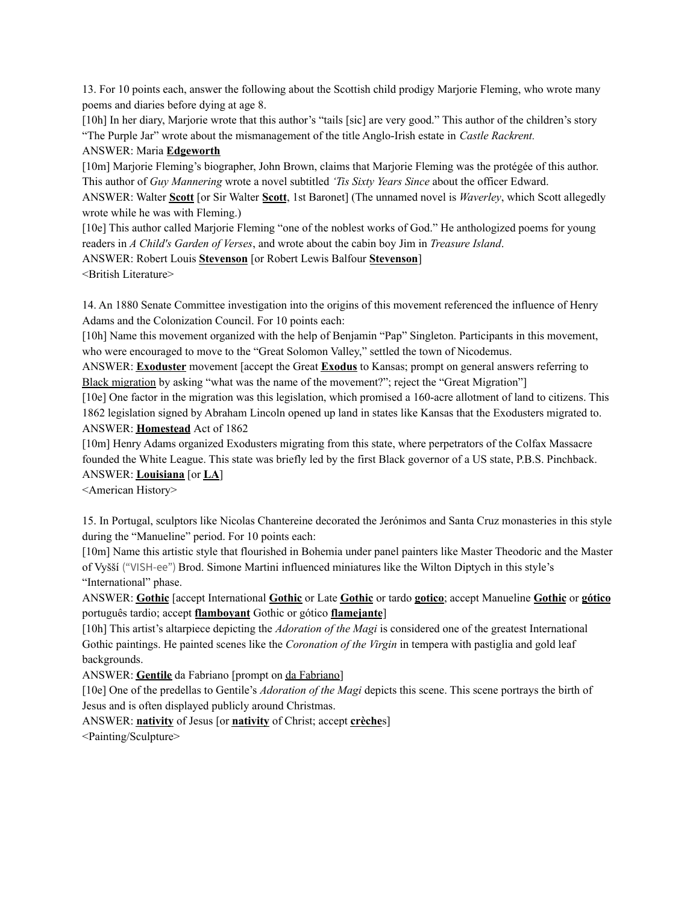13. For 10 points each, answer the following about the Scottish child prodigy Marjorie Fleming, who wrote many poems and diaries before dying at age 8.

[10h] In her diary, Marjorie wrote that this author's "tails [sic] are very good." This author of the children's story "The Purple Jar" wrote about the mismanagement of the title Anglo-Irish estate in *Castle Rackrent.*

### ANSWER: Maria **Edgeworth**

[10m] Marjorie Fleming's biographer, John Brown, claims that Marjorie Fleming was the protégée of this author. This author of *Guy Mannering* wrote a novel subtitled *'Tis Sixty Years Since* about the officer Edward.

ANSWER: Walter **Scott** [or Sir Walter **Scott**, 1st Baronet] (The unnamed novel is *Waverley*, which Scott allegedly wrote while he was with Fleming.)

[10e] This author called Marjorie Fleming "one of the noblest works of God." He anthologized poems for young readers in *A Child's Garden of Verses*, and wrote about the cabin boy Jim in *Treasure Island*.

ANSWER: Robert Louis **Stevenson** [or Robert Lewis Balfour **Stevenson**]

<British Literature>

14. An 1880 Senate Committee investigation into the origins of this movement referenced the influence of Henry Adams and the Colonization Council. For 10 points each:

[10h] Name this movement organized with the help of Benjamin "Pap" Singleton. Participants in this movement, who were encouraged to move to the "Great Solomon Valley," settled the town of Nicodemus.

ANSWER: **Exoduster** movement [accept the Great **Exodus** to Kansas; prompt on general answers referring to Black migration by asking "what was the name of the movement?"; reject the "Great Migration"]

[10e] One factor in the migration was this legislation, which promised a 160-acre allotment of land to citizens. This 1862 legislation signed by Abraham Lincoln opened up land in states like Kansas that the Exodusters migrated to. ANSWER: **Homestead** Act of 1862

[10m] Henry Adams organized Exodusters migrating from this state, where perpetrators of the Colfax Massacre founded the White League. This state was briefly led by the first Black governor of a US state, P.B.S. Pinchback. ANSWER: **Louisiana** [or **LA**]

<American History>

15. In Portugal, sculptors like Nicolas Chantereine decorated the Jerónimos and Santa Cruz monasteries in this style during the "Manueline" period. For 10 points each:

[10m] Name this artistic style that flourished in Bohemia under panel painters like Master Theodoric and the Master of Vyšší ("VISH-ee") Brod. Simone Martini influenced miniatures like the Wilton Diptych in this style's "International" phase.

ANSWER: **Gothic** [accept International **Gothic** or Late **Gothic** or tardo **gotico**; accept Manueline **Gothic** or **gótico** português tardio; accept **flamboyant** Gothic or gótico **flamejante**]

[10h] This artist's altarpiece depicting the *Adoration of the Magi* is considered one of the greatest International Gothic paintings. He painted scenes like the *Coronation of the Virgin* in tempera with pastiglia and gold leaf backgrounds.

ANSWER: **Gentile** da Fabriano [prompt on da Fabriano]

[10e] One of the predellas to Gentile's *Adoration of the Magi* depicts this scene. This scene portrays the birth of Jesus and is often displayed publicly around Christmas.

ANSWER: **nativity** of Jesus [or **nativity** of Christ; accept **crèche**s]

<Painting/Sculpture>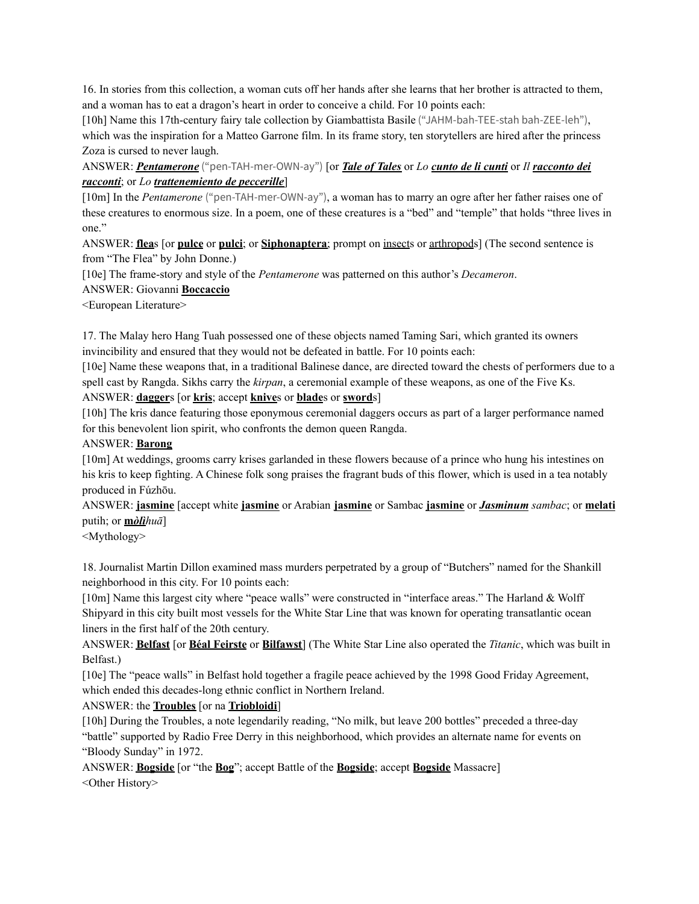16. In stories from this collection, a woman cuts off her hands after she learns that her brother is attracted to them, and a woman has to eat a dragon's heart in order to conceive a child. For 10 points each:

[10h] Name this 17th-century fairy tale collection by Giambattista Basile ("JAHM-bah-TEE-stah bah-ZEE-leh"), which was the inspiration for a Matteo Garrone film. In its frame story, ten storytellers are hired after the princess Zoza is cursed to never laugh.

## ANSWER: *Pentamerone* ("pen-TAH-mer-OWN-ay") [or *Tale of Tales* or *Lo cunto de li cunti* or *Il racconto dei racconti*; or *Lo trattenemiento de peccerille*]

[10m] In the *Pentamerone* ("pen-TAH-mer-OWN-ay"), a woman has to marry an ogre after her father raises one of these creatures to enormous size. In a poem, one of these creatures is a "bed" and "temple" that holds "three lives in one."

ANSWER: **flea**s [or **pulce** or **pulci**; or **Siphonaptera**; prompt on insects or arthropods] (The second sentence is from "The Flea" by John Donne.)

[10e] The frame-story and style of the *Pentamerone* was patterned on this author's *Decameron*.

ANSWER: Giovanni **Boccaccio**

<European Literature>

17. The Malay hero Hang Tuah possessed one of these objects named Taming Sari, which granted its owners invincibility and ensured that they would not be defeated in battle. For 10 points each:

[10e] Name these weapons that, in a traditional Balinese dance, are directed toward the chests of performers due to a spell cast by Rangda. Sikhs carry the *kirpan*, a ceremonial example of these weapons, as one of the Five Ks. ANSWER: **dagger**s [or **kris**; accept **knive**s or **blade**s or **sword**s]

[10h] The kris dance featuring those eponymous ceremonial daggers occurs as part of a larger performance named for this benevolent lion spirit, who confronts the demon queen Rangda.

#### ANSWER: **Barong**

[10m] At weddings, grooms carry krises garlanded in these flowers because of a prince who hung his intestines on his kris to keep fighting. A Chinese folk song praises the fragrant buds of this flower, which is used in a tea notably produced in Fúzhōu.

ANSWER: **jasmine** [accept white **jasmine** or Arabian **jasmine** or Sambac **jasmine** or *Jasminum sambac*; or **melati** putih; or **m***òlìhuā*]

<Mythology>

18. Journalist Martin Dillon examined mass murders perpetrated by a group of "Butchers" named for the Shankill neighborhood in this city. For 10 points each:

[10m] Name this largest city where "peace walls" were constructed in "interface areas." The Harland & Wolff Shipyard in this city built most vessels for the White Star Line that was known for operating transatlantic ocean liners in the first half of the 20th century.

ANSWER: **Belfast** [or **Béal Feirste** or **Bilfawst**] (The White Star Line also operated the *Titanic*, which was built in Belfast.)

[10e] The "peace walls" in Belfast hold together a fragile peace achieved by the 1998 Good Friday Agreement, which ended this decades-long ethnic conflict in Northern Ireland.

ANSWER: the **Troubles** [or na **Triobloidi**]

[10h] During the Troubles, a note legendarily reading, "No milk, but leave 200 bottles" preceded a three-day "battle" supported by Radio Free Derry in this neighborhood, which provides an alternate name for events on "Bloody Sunday" in 1972.

ANSWER: **Bogside** [or "the **Bog**"; accept Battle of the **Bogside**; accept **Bogside** Massacre] <Other History>